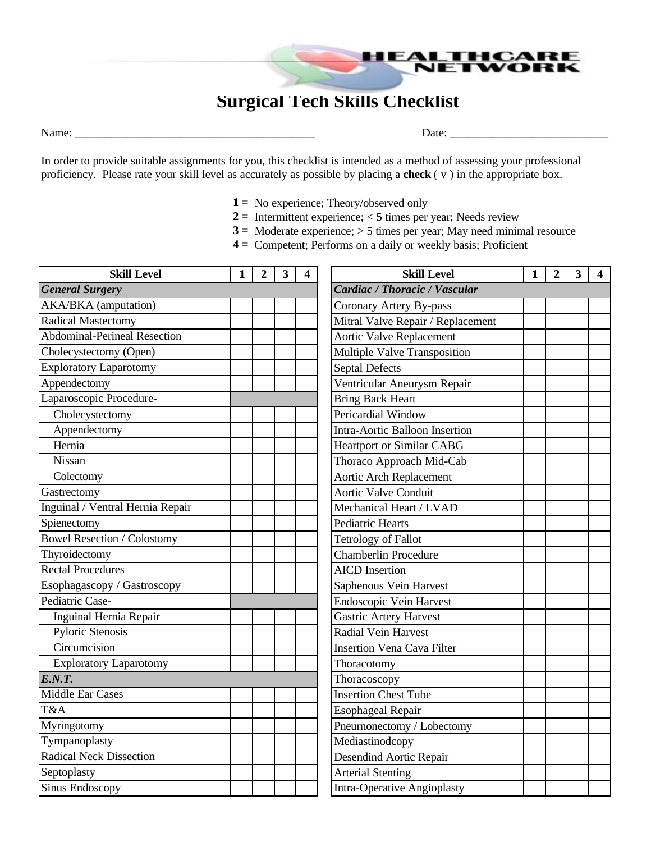## **Surgical Tech Skills Checklist**

Name: \_\_\_\_\_\_\_\_\_\_\_\_\_\_\_\_\_\_\_\_\_\_\_\_\_\_\_\_\_\_\_\_\_\_\_\_\_\_\_\_\_ Date: \_\_\_\_\_\_\_\_\_\_\_\_\_\_\_\_\_\_\_\_\_\_\_\_\_\_\_

RF

WORK

In order to provide suitable assignments for you, this checklist is intended as a method of assessing your professional proficiency. Please rate your skill level as accurately as possible by placing a **check** ( v ) in the appropriate box.

- **1** = No experience; Theory/observed only
- $2 =$  Intermittent experience;  $<$  5 times per year; Needs review
- **3** = Moderate experience; > 5 times per year; May need minimal resource
- **4** = Competent; Performs on a daily or weekly basis; Proficient

| <b>Skill Level</b>                  | 1 | $\overline{2}$ | $\mathbf{3}$ | $\overline{\mathbf{4}}$ | <b>Skill Level</b>                 | 1 | $\overline{2}$ | $\mathbf{3}$ | 4 |
|-------------------------------------|---|----------------|--------------|-------------------------|------------------------------------|---|----------------|--------------|---|
| <b>General Surgery</b>              |   |                |              |                         | Cardiac / Thoracic / Vascular      |   |                |              |   |
| <b>AKA/BKA</b> (amputation)         |   |                |              |                         | Coronary Artery By-pass            |   |                |              |   |
| Radical Mastectomy                  |   |                |              |                         | Mitral Valve Repair / Replacement  |   |                |              |   |
| <b>Abdominal-Perineal Resection</b> |   |                |              |                         | <b>Aortic Valve Replacement</b>    |   |                |              |   |
| Cholecystectomy (Open)              |   |                |              |                         | Multiple Valve Transposition       |   |                |              |   |
| <b>Exploratory Laparotomy</b>       |   |                |              |                         | <b>Septal Defects</b>              |   |                |              |   |
| Appendectomy                        |   |                |              |                         | Ventricular Aneurysm Repair        |   |                |              |   |
| Laparoscopic Procedure-             |   |                |              |                         | <b>Bring Back Heart</b>            |   |                |              |   |
| Cholecystectomy                     |   |                |              |                         | Pericardial Window                 |   |                |              |   |
| Appendectomy                        |   |                |              |                         | Intra-Aortic Balloon Insertion     |   |                |              |   |
| Hernia                              |   |                |              |                         | <b>Heartport or Similar CABG</b>   |   |                |              |   |
| Nissan                              |   |                |              |                         | Thoraco Approach Mid-Cab           |   |                |              |   |
| Colectomy                           |   |                |              |                         | <b>Aortic Arch Replacement</b>     |   |                |              |   |
| Gastrectomy                         |   |                |              |                         | <b>Aortic Valve Conduit</b>        |   |                |              |   |
| Inguinal / Ventral Hernia Repair    |   |                |              |                         | Mechanical Heart / LVAD            |   |                |              |   |
| Spienectomy                         |   |                |              |                         | <b>Pediatric Hearts</b>            |   |                |              |   |
| <b>Bowel Resection / Colostomy</b>  |   |                |              |                         | <b>Tetrology of Fallot</b>         |   |                |              |   |
| Thyroidectomy                       |   |                |              |                         | Chamberlin Procedure               |   |                |              |   |
| <b>Rectal Procedures</b>            |   |                |              |                         | <b>AICD</b> Insertion              |   |                |              |   |
| Esophagascopy / Gastroscopy         |   |                |              |                         | Saphenous Vein Harvest             |   |                |              |   |
| Pediatric Case-                     |   |                |              |                         | <b>Endoscopic Vein Harvest</b>     |   |                |              |   |
| Inguinal Hernia Repair              |   |                |              |                         | <b>Gastric Artery Harvest</b>      |   |                |              |   |
| Pyloric Stenosis                    |   |                |              |                         | Radial Vein Harvest                |   |                |              |   |
| Circumcision                        |   |                |              |                         | <b>Insertion Vena Cava Filter</b>  |   |                |              |   |
| <b>Exploratory Laparotomy</b>       |   |                |              |                         | Thoracotomy                        |   |                |              |   |
| E.N. T.                             |   |                |              |                         | Thoracoscopy                       |   |                |              |   |
| <b>Middle Ear Cases</b>             |   |                |              |                         | <b>Insertion Chest Tube</b>        |   |                |              |   |
| T&A                                 |   |                |              |                         | <b>Esophageal Repair</b>           |   |                |              |   |
| Myringotomy                         |   |                |              |                         | Pneurnonectomy / Lobectomy         |   |                |              |   |
| Tympanoplasty                       |   |                |              |                         | Mediastinodcopy                    |   |                |              |   |
| <b>Radical Neck Dissection</b>      |   |                |              |                         | Desendind Aortic Repair            |   |                |              |   |
| Septoplasty                         |   |                |              |                         | <b>Arterial Stenting</b>           |   |                |              |   |
| <b>Sinus Endoscopy</b>              |   |                |              |                         | <b>Intra-Operative Angioplasty</b> |   |                |              |   |